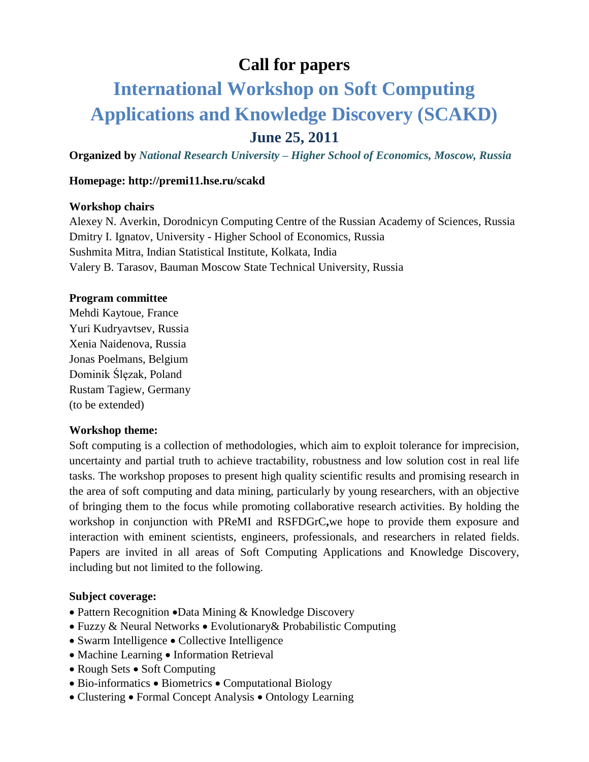## **Call for papers**

# **International Workshop on Soft Computing Applications and Knowledge Discovery (SCAKD) June 25, 2011**

**Organized by** *National Research University – Higher School of Economics, Moscow, Russia*

#### **Homepage: http://premi11.hse.ru/scakd**

#### **Workshop chairs**

Alexey N. Averkin, [Dorodnicyn Computing Centre of the Russian Academy of Sciences, Russia](http://www.google.com/url?sa=t&source=web&cd=1&ved=0CBQQFjAA&url=http%3A%2F%2Fwww.ccas.ru%2F&ei=BLy1Tey6N8yOswb7qYjaCw&usg=AFQjCNEy-WJ7KfC3UO0CitCDYl1uy2gsdA&sig2=5nxWinBWgCwIbMF69q0ltA) Dmitry I. Ignatov, University - Higher School of Economics, Russia Sushmita Mitra, [Indian Statistical Institute,](http://www.isical.ac.in/) Kolkata, India Valery B. Tarasov, Bauman Moscow State Technical University, Russia

#### **Program committee**

Mehdi Kaytoue, France Yuri Kudryavtsev, Russia Xenia Naidenova, Russia Jonas Poelmans, Belgium Dominik Ślęzak, Poland Rustam Tagiew, Germany (to be extended)

#### **Workshop theme:**

Soft computing is a collection of methodologies, which aim to exploit tolerance for imprecision, uncertainty and partial truth to achieve tractability, robustness and low solution cost in real life tasks. The workshop proposes to present high quality scientific results and promising research in the area of soft computing and data mining, particularly by young researchers, with an objective of bringing them to the focus while promoting collaborative research activities. By holding the workshop in conjunction with PReMI and RSFDGrC**,**we hope to provide them exposure and interaction with eminent scientists, engineers, professionals, and researchers in related fields. Papers are invited in all areas of Soft Computing Applications and Knowledge Discovery, including but not limited to the following.

#### **Subject coverage:**

- Pattern Recognition Data Mining & Knowledge Discovery
- Fuzzy & Neural Networks Evolutionary & Probabilistic Computing
- Swarm Intelligence Collective Intelligence
- Machine Learning Information Retrieval
- Rough Sets Soft Computing
- $\bullet$  Bio-informatics  $\bullet$  Biometrics  $\bullet$  Computational Biology
- Clustering Formal Concept Analysis Ontology Learning